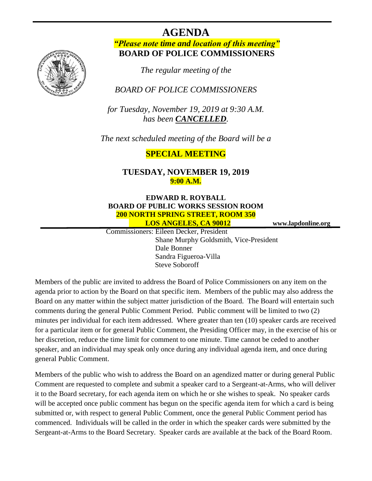# **AGENDA**

### *"Please note time and location of this meeting"* **BOARD OF POLICE COMMISSIONERS**

*The regular meeting of the*

## *BOARD OF POLICE COMMISSIONERS*

*for Tuesday, November 19, 2019 at 9:30 A.M. has been CANCELLED.*

*The next scheduled meeting of the Board will be a*

## **SPECIAL MEETING**

#### **TUESDAY, NOVEMBER 19, 2019 9:00 A.M.**

## **EDWARD R. ROYBALL BOARD OF PUBLIC WORKS SESSION ROOM 200 NORTH SPRING STREET, ROOM 350**

 **LOS ANGELES, CA 90012 www.lapdonline.org**

 Commissioners: Eileen Decker, President Shane Murphy Goldsmith, Vice-President Dale Bonner Sandra Figueroa-Villa Steve Soboroff

Members of the public are invited to address the Board of Police Commissioners on any item on the agenda prior to action by the Board on that specific item. Members of the public may also address the Board on any matter within the subject matter jurisdiction of the Board. The Board will entertain such comments during the general Public Comment Period. Public comment will be limited to two (2) minutes per individual for each item addressed. Where greater than ten (10) speaker cards are received for a particular item or for general Public Comment, the Presiding Officer may, in the exercise of his or her discretion, reduce the time limit for comment to one minute. Time cannot be ceded to another speaker, and an individual may speak only once during any individual agenda item, and once during general Public Comment.

Members of the public who wish to address the Board on an agendized matter or during general Public Comment are requested to complete and submit a speaker card to a Sergeant-at-Arms, who will deliver it to the Board secretary, for each agenda item on which he or she wishes to speak. No speaker cards will be accepted once public comment has begun on the specific agenda item for which a card is being submitted or, with respect to general Public Comment, once the general Public Comment period has commenced. Individuals will be called in the order in which the speaker cards were submitted by the Sergeant-at-Arms to the Board Secretary. Speaker cards are available at the back of the Board Room.